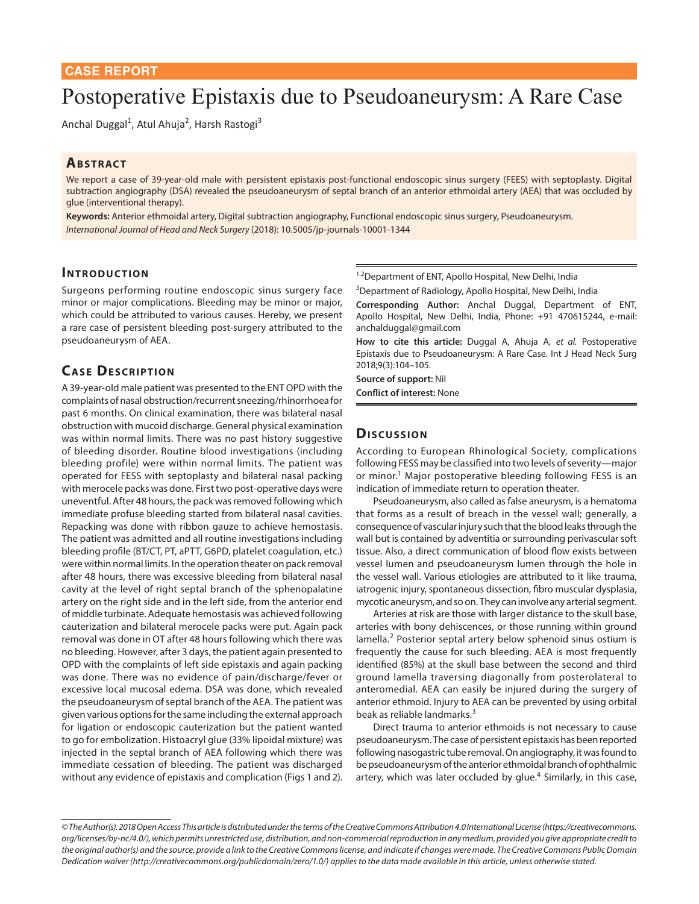# Postoperative Epistaxis due to Pseudoaneurysm: A Rare Case

Anchal Duggal<sup>1</sup>, Atul Ahuja<sup>2</sup>, Harsh Rastogi<sup>3</sup>

## **ABSTRACT**

We report a case of 39-year-old male with persistent epistaxis post-functional endoscopic sinus surgery (FEES) with septoplasty. Digital subtraction angiography (DSA) revealed the pseudoaneurysm of septal branch of an anterior ethmoidal artery (AEA) that was occluded by glue (interventional therapy).

**Keywords:** Anterior ethmoidal artery, Digital subtraction angiography, Functional endoscopic sinus surgery, Pseudoaneurysm. *International Journal of Head and Neck Surgery* (2018): 10.5005/jp-journals-10001-1344

## **INTRODUCTION**

Surgeons performing routine endoscopic sinus surgery face minor or major complications. Bleeding may be minor or major, which could be attributed to various causes. Hereby, we present a rare case of persistent bleeding post-surgery attributed to the pseudoaneurysm of AEA.

# **CASE DESCRIPTION**

A 39-year-old male patient was presented to the ENT OPD with the complaints of nasal obstruction/recurrent sneezing/rhinorrhoea for past 6 months. On clinical examination, there was bilateral nasal obstruction with mucoid discharge. General physical examination was within normal limits. There was no past history suggestive of bleeding disorder. Routine blood investigations (including bleeding profile) were within normal limits. The patient was operated for FESS with septoplasty and bilateral nasal packing with merocele packs was done. First two post-operative days were uneventful. After 48 hours, the pack was removed following which immediate profuse bleeding started from bilateral nasal cavities. Repacking was done with ribbon gauze to achieve hemostasis. The patient was admitted and all routine investigations including bleeding profile (BT/CT, PT, aPTT, G6PD, platelet coagulation, etc.) were within normal limits. In the operation theater on pack removal after 48 hours, there was excessive bleeding from bilateral nasal cavity at the level of right septal branch of the sphenopalatine artery on the right side and in the left side, from the anterior end of middle turbinate. Adequate hemostasis was achieved following cauterization and bilateral merocele packs were put. Again pack removal was done in OT after 48 hours following which there was no bleeding. However, after 3 days, the patient again presented to OPD with the complaints of left side epistaxis and again packing was done. There was no evidence of pain/discharge/fever or excessive local mucosal edema. DSA was done, which revealed the pseudoaneurysm of septal branch of the AEA. The patient was given various options for the same including the external approach for ligation or endoscopic cauterization but the patient wanted to go for embolization. Histoacryl glue (33% lipoidal mixture) was injected in the septal branch of AEA following which there was immediate cessation of bleeding. The patient was discharged without any evidence of epistaxis and complication (Figs 1 and 2).

<sup>1,2</sup>Department of ENT, Apollo Hospital, New Delhi, India

<sup>3</sup>Department of Radiology, Apollo Hospital, New Delhi, India

**Corresponding Author:** Anchal Duggal, Department of ENT, Apollo Hospital, New Delhi, India, Phone: +91 470615244, e-mail: anchalduggal@gmail.com

**How to cite this article:** Duggal A, Ahuja A, *et al.* Postoperative Epistaxis due to Pseudoaneurysm: A Rare Case. Int J Head Neck Surg 2018;9(3):104–105.

**Source of support:** Nil **Conflict of interest:** None

## **Dis c u s sio n**

According to European Rhinological Society, complications following FESS may be classified into two levels of severity—major or minor.<sup>1</sup> Major postoperative bleeding following FESS is an indication of immediate return to operation theater.

Pseudoaneurysm, also called as false aneurysm, is a hematoma that forms as a result of breach in the vessel wall; generally, a consequence of vascular injury such that the blood leaks through the wall but is contained by adventitia or surrounding perivascular soft tissue. Also, a direct communication of blood flow exists between vessel lumen and pseudoaneurysm lumen through the hole in the vessel wall. Various etiologies are attributed to it like trauma, iatrogenic injury, spontaneous dissection, fibro muscular dysplasia, mycotic aneurysm, and so on. They can involve any arterial segment.

Arteries at risk are those with larger distance to the skull base, arteries with bony dehiscences, or those running within ground lamella.<sup>2</sup> Posterior septal artery below sphenoid sinus ostium is frequently the cause for such bleeding. AEA is most frequently identified (85%) at the skull base between the second and third ground lamella traversing diagonally from posterolateral to anteromedial. AEA can easily be injured during the surgery of anterior ethmoid. Injury to AEA can be prevented by using orbital beak as reliable landmarks.<sup>3</sup>

Direct trauma to anterior ethmoids is not necessary to cause pseudoaneurysm. The case of persistent epistaxis has been reported following nasogastric tube removal. On angiography, it was found to be pseudoaneurysm of the anterior ethmoidal branch of ophthalmic artery, which was later occluded by glue. $4$  Similarly, in this case,

*<sup>©</sup> The Author(s). 2018 Open Access This article is distributed under the terms of the Creative Commons Attribution 4.0 International License (https://creativecommons. org/licenses/by-nc/4.0/), which permits unrestricted use, distribution, and non-commercial reproduction in any medium, provided you give appropriate credit to the original author(s) and the source, provide a link to the Creative Commons license, and indicate if changes were made. The Creative Commons Public Domain Dedication waiver (http://creativecommons.org/publicdomain/zero/1.0/) applies to the data made available in this article, unless otherwise stated.*